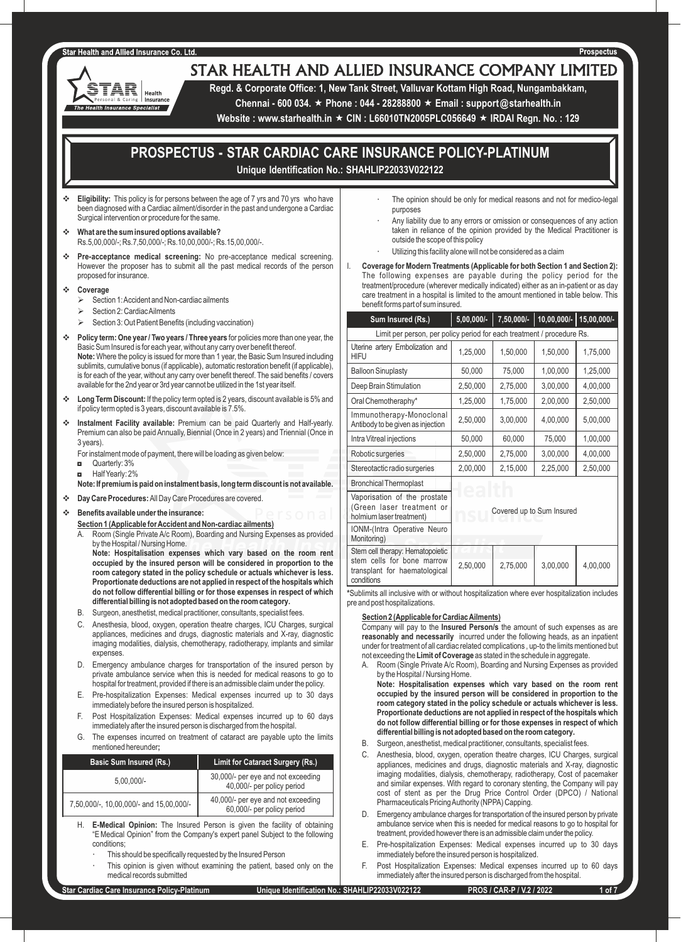#### **Star Health and Allied Insurance Co. Ltd**

'AR

**Health Insurance Specialist** 

Health Insurance

# STAR HEALTH AND ALLIED INSURANCE COMPANY LIMITED

**Regd. & Corporate Office: 1, New Tank Street, Valluvar Kottam High Road, Nungambakkam,** 

**Chennai - 600 034.** « **Phone : 044 - 28288800** « **Email : support@starhealth.in** 

**Website : www.starhealth.in ★ CIN : L66010TN2005PLC056649 ★ IRDAI Regn. No. : 129** 

# **PROSPECTUS - STAR CARDIAC CARE INSURANCE POLICY-PLATINUM Unique Identification No.: SHAHLIP22033V022122**

- v **Eligibility:** This policy is for persons between the age of 7 yrs and 70 yrs who have been diagnosed with a Cardiac ailment/disorder in the past and undergone a Cardiac Surgical intervention or procedure for the same.
- v **What are the sum insured options available?** Rs.5,00,000/-; Rs.7,50,000/-; Rs.10,00,000/-; Rs.15,00,000/-.
- **Pre-acceptance medical screening:** No pre-acceptance medical screening. However the proposer has to submit all the past medical records of the person proposed for insurance.
- v **Coverage**
	- $\triangleright$  Section 1: Accident and Non-cardiac ailments
	- Section 2: Cardiac Ailments
	- Section 3: Out Patient Benefits (including vaccination)
- v **Policy term: One year / Two years / Three years** for policies more than one year, the Basic Sum Insured is for each year, without any carry over benefit thereof. **Note:** Where the policy is issued for more than 1 year, the Basic Sum Insured including sublimits, cumulative bonus (if applicable), automatic restoration benefit (if applicable), is for each of the year, without any carry over benefit thereof. The said benefits / covers available for the 2nd year or 3rd year cannot be utilized in the 1st year itself.
- Long Term Discount: If the policy term opted is 2 years, discount available is 5% and if policy term opted is 3 years, discount available is 7.5%.
- **Instalment Facility available:** Premium can be paid Quarterly and Half-yearly. Premium can also be paid Annually, Biennial (Once in 2 years) and Triennial (Once in 3 years).
	- For instalment mode of payment, there will be loading as given below:
	- ◘ Quarterly: 3%
	- ◘ Half Yearly: 2%
	- **Note: If premium is paid on instalment basis, long term discount is not available.**
- **Example 20 Day Care Procedures:** All Day Care Procedures are covered.
- v **Benefits available under the insurance:**
	- **Section 1 (Applicable for Accident and Non-cardiac ailments)**
	- Room (Single Private A/c Room), Boarding and Nursing Expenses as provided by the Hospital / Nursing Home.

**Note: Hospitalisation expenses which vary based on the room rent occupied by the insured person will be considered in proportion to the room category stated in the policy schedule or actuals whichever is less. Proportionate deductions are not applied in respect of the hospitals which do not follow differential billing or for those expenses in respect of which differential billing is not adopted based on the room category.**

- B. Surgeon, anesthetist, medical practitioner, consultants, specialist fees.
- Anesthesia, blood, oxygen, operation theatre charges, ICU Charges, surgical appliances, medicines and drugs, diagnostic materials and X-ray, diagnostic imaging modalities, dialysis, chemotherapy, radiotherapy, implants and similar expenses.
- D. Emergency ambulance charges for transportation of the insured person by private ambulance service when this is needed for medical reasons to go to hospital for treatment, provided if there is an admissible claim under the policy.
- E. Pre-hospitalization Expenses: Medical expenses incurred up to 30 days immediately before the insured person is hospitalized.
- F. Post Hospitalization Expenses: Medical expenses incurred up to 60 days immediately after the insured person is discharged from the hospital.
- G. The expenses incurred on treatment of cataract are payable upto the limits mentioned hereunder**;**

| <b>Basic Sum Insured (Rs.)</b>          | <b>Limit for Cataract Surgery (Rs.)</b>                          |
|-----------------------------------------|------------------------------------------------------------------|
| $5.00.000/-$                            | 30,000/- per eye and not exceeding<br>40,000/- per policy period |
| 7,50,000/-, 10,00,000/- and 15,00,000/- | 40,000/- per eye and not exceeding<br>60,000/- per policy period |

H. **E-Medical Opinion:** The Insured Person is given the facility of obtaining "E Medical Opinion" from the Company's expert panel Subject to the following conditions;

- This should be specifically requested by the Insured Person
- This opinion is given without examining the patient, based only on the medical records submitted
- The opinion should be only for medical reasons and not for medico-legal purposes
- Any liability due to any errors or omission or consequences of any action taken in reliance of the opinion provided by the Medical Practitioner is outside the scope of this policy
- Utilizing this facility alone will not be considered as a claim
- I. **Coverage for Modern Treatments (Applicable for both Section 1 and Section 2):**  The following expenses are payable during the policy period for the treatment/procedure (wherever medically indicated) either as an in-patient or as day care treatment in a hospital is limited to the amount mentioned in table below. This benefit forms part of sum insured.

| Sum Insured (Rs.)                                                                                             | $5,00,000/-$              | 7,50,000/- | $10,00,000/-$ | 15,00,000/- |
|---------------------------------------------------------------------------------------------------------------|---------------------------|------------|---------------|-------------|
| Limit per person, per policy period for each treatment / procedure Rs.                                        |                           |            |               |             |
| Uterine artery Embolization and<br><b>HIFU</b>                                                                | 1,25,000                  | 1,50,000   | 1,50,000      | 1,75,000    |
| <b>Balloon Sinuplasty</b>                                                                                     | 50,000                    | 75,000     | 1,00,000      | 1,25,000    |
| Deep Brain Stimulation                                                                                        | 2,50,000                  | 2,75,000   | 3,00,000      | 4,00,000    |
| Oral Chemotheraphy*                                                                                           | 1,25,000                  | 1,75,000   | 2,00,000      | 2,50,000    |
| Immunotherapy-Monoclonal<br>Antibody to be given as injection                                                 | 2,50,000                  | 3,00,000   | 4,00,000      | 5,00,000    |
| Intra Vitreal injections                                                                                      | 50,000                    | 60,000     | 75,000        | 1,00,000    |
| Robotic surgeries                                                                                             | 2,50,000                  | 2,75,000   | 3,00,000      | 4,00,000    |
| Stereotactic radio surgeries                                                                                  | 2,00,000                  | 2,15,000   | 2,25,000      | 2,50,000    |
| <b>Bronchical Thermoplast</b>                                                                                 |                           |            |               |             |
| Vaporisation of the prostate<br>(Green laser treatment or<br>holmium laser treatment)                         | Covered up to Sum Insured |            |               |             |
| IONM-(Intra Operative Neuro<br>Monitoring)                                                                    |                           |            |               |             |
| Stem cell therapy: Hematopoietic<br>stem cells for bone marrow<br>transplant for haematological<br>conditions | 2,50,000                  | 2,75,000   | 3,00,000      | 4,00,000    |

**\***Sublimits all inclusive with or without hospitalization where ever hospitalization includes pre and post hospitalizations.

#### **Section 2 (Applicable for Cardiac Ailments)**

Company will pay to the **Insured Person/s** the amount of such expenses as are **reasonably and necessarily** incurred under the following heads, as an inpatient under for treatment of all cardiac related complications , up-to the limits mentioned but not exceeding the **Limit of Coverage** as stated in the schedule in aggregate.

A. Room (Single Private A/c Room), Boarding and Nursing Expenses as provided by the Hospital / Nursing Home.

**Note: Hospitalisation expenses which vary based on the room rent occupied by the insured person will be considered in proportion to the room category stated in the policy schedule or actuals whichever is less. Proportionate deductions are not applied in respect of the hospitals which do not follow differential billing or for those expenses in respect of which differential billing is not adopted based on the room category.**

- B. Surgeon, anesthetist, medical practitioner, consultants, specialist fees.
- C. Anesthesia, blood, oxygen, operation theatre charges, ICU Charges, surgical appliances, medicines and drugs, diagnostic materials and X-ray, diagnostic imaging modalities, dialysis, chemotherapy, radiotherapy, Cost of pacemaker and similar expenses. With regard to coronary stenting, the Company will pay cost of stent as per the Drug Price Control Order (DPCO) / National Pharmaceuticals Pricing Authority (NPPA) Capping.
- D. Emergency ambulance charges for transportation of the insured person by private ambulance service when this is needed for medical reasons to go to hospital for treatment, provided however there is an admissible claim under the policy.
- E. Pre-hospitalization Expenses: Medical expenses incurred up to 30 days immediately before the insured person is hospitalized.
- F. Post Hospitalization Expenses: Medical expenses incurred up to 60 days immediately after the insured person is discharged from the hospital.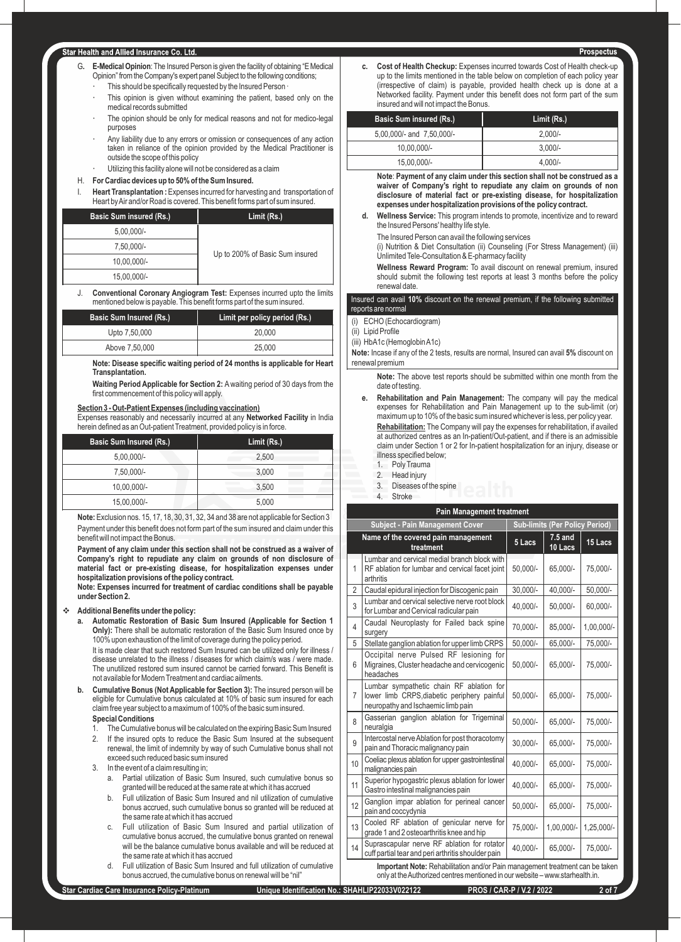#### **Star Health and Allied Insurance Co. Ltd.**

- G. **E-Medical Opinion**: The Insured Person is given the facility of obtaining "E Medical Opinion" from the Company's expert panel Subject to the following conditions;
	- This should be specifically requested by the Insured Person ·
	- This opinion is given without examining the patient, based only on the medical records submitted
	- The opinion should be only for medical reasons and not for medico-legal purposes
	- Any liability due to any errors or omission or consequences of any action taken in reliance of the opinion provided by the Medical Practitioner is outside the scope of this policy
	- Utilizing this facility alone will not be considered as a claim

#### H. **For Cardiac devices up to 50% of the Sum Insured.**

I. **Heart Transplantation :** Expenses incurred for harvesting and transportation of Heart by Air and/or Road is covered. This benefit forms part of sum insured.

| <b>Basic Sum insured (Rs.)</b> | Limit (Rs.)                     |
|--------------------------------|---------------------------------|
| $5,00,000/-$                   |                                 |
| 7,50,000/-                     |                                 |
| 10,00,000/-                    | Up to 200% of Basic Sum insured |
| 15.00.000/-                    |                                 |

J. **Conventional Coronary Angiogram Test:** Expenses incurred upto the limits mentioned below is payable. This benefit forms part of the sum insured.

| <b>Basic Sum Insured (Rs.)</b> | Limit per policy period (Rs.) |
|--------------------------------|-------------------------------|
| Upto 7,50,000                  | 20,000                        |
| Above 7,50,000                 | 25,000                        |

**Note: Disease specific waiting period of 24 months is applicable for Heart Transplantation.**

**Waiting Period Applicable for Section 2:** A waiting period of 30 days from the first commencement of this policy will apply.

#### **Section 3 - Out-Patient Expenses (including vaccination)**

Expenses reasonably and necessarily incurred at any **Networked Facility** in India herein defined as an Out-patient Treatment, provided policy is in force.

| <b>Basic Sum Insured (Rs.)</b> | Limit (Rs.) |  |
|--------------------------------|-------------|--|
| $5,00,000/-$                   | 2.500       |  |
| 7,50,000/-                     | 3.000       |  |
| 10,00,000/-                    | 3.500       |  |
| 15,00,000/-                    | 5,000       |  |

**Note:** Exclusion nos. 15, 17, 18, 30, 31, 32, 34 and 38 are not applicable for Section 3 Payment under this benefit does not form part of the sum insured and claim under this benefit will not impact the Bonus.

**Payment of any claim under this section shall not be construed as a waiver of Company's right to repudiate any claim on grounds of non disclosure of material fact or pre-existing disease, for hospitalization expenses under hospitalization provisions of the policy contract.**

**Note: Expenses incurred for treatment of cardiac conditions shall be payable under Section 2.**

#### v **Additional Benefits under the policy:**

**a. Automatic Restoration of Basic Sum Insured (Applicable for Section 1 Only):** There shall be automatic restoration of the Basic Sum Insured once by 100% upon exhaustion of the limit of coverage during the policy period.

It is made clear that such restored Sum Insured can be utilized only for illness / disease unrelated to the illness / diseases for which claim/s was / were made. The unutilized restored sum insured cannot be carried forward. This Benefit is not available for Modern Treatment and cardiac ailments.

**b. Cumulative Bonus (Not Applicable for Section 3):** The insured person will be eligible for Cumulative bonus calculated at 10% of basic sum insured for each claim free year subject to a maximum of 100% of the basic sum insured.

# **Special Conditions**

- 1. The Cumulative bonus will be calculated on the expiring Basic Sum Insured
- 2. If the insured opts to reduce the Basic Sum Insured at the subsequent renewal, the limit of indemnity by way of such Cumulative bonus shall not exceed such reduced basic sum insured
- In the event of a claim resulting in;
	- a. Partial utilization of Basic Sum Insured, such cumulative bonus so granted will be reduced at the same rate at which it has accrued
	- b. Full utilization of Basic Sum Insured and nil utilization of cumulative bonus accrued, such cumulative bonus so granted will be reduced at the same rate at which it has accrued
	- Full utilization of Basic Sum Insured and partial utilization of cumulative bonus accrued, the cumulative bonus granted on renewal will be the balance cumulative bonus available and will be reduced at the same rate at which it has accrued
	- Full utilization of Basic Sum Insured and full utilization of cumulative bonus accrued, the cumulative bonus on renewal will be "nil"

**c. Cost of Health Checkup:** Expenses incurred towards Cost of Health check-up up to the limits mentioned in the table below on completion of each policy year (irrespective of claim) is payable, provided health check up is done at a Networked facility. Payment under this benefit does not form part of the sum insured and will not impact the Bonus.

| Basic Sum insured (Rs.)   | Limit (Rs.) |
|---------------------------|-------------|
| 5,00,000/- and 7,50,000/- | $2.000/-$   |
| 10,00,000/-               | $3.000/-$   |
| 15.00.000/-               | $4.000/-$   |

**Note**: **Payment of any claim under this section shall not be construed as a waiver of Company's right to repudiate any claim on grounds of non disclosure of material fact or pre-existing disease, for hospitalization expenses under hospitalization provisions of the policy contract.**

**d. Wellness Service:** This program intends to promote, incentivize and to reward the Insured Persons' healthy life style.

The Insured Person can avail the following services

(i) Nutrition & Diet Consultation (ii) Counseling (For Stress Management) (iii) Unlimited Tele-Consultation & E-pharmacy facility

**Wellness Reward Program:** To avail discount on renewal premium, insured should submit the following test reports at least 3 months before the policy renewal date.

#### Insured can avail **10%** discount on the renewal premium, if the following submitted reports are normal

- (i) ECHO (Echocardiogram)
- (ii) Lipid Profile
- (iii) HbA1c (Hemoglobin A1c)

**Note:** Incase if any of the 2 tests, results are normal, Insured can avail **5%** discount on renewal premium

**Note:** The above test reports should be submitted within one month from the date of testing.

- **e. Rehabilitation and Pain Management:** The company will pay the medical expenses for Rehabilitation and Pain Management up to the sub-limit (or) maximum up to 10% of the basic sum insured whichever is less, per policy year. **Rehabilitation:** The Company will pay the expenses for rehabilitation, if availed at authorized centres as an In-patient/Out-patient, and if there is an admissible claim under Section 1 or 2 for In-patient hospitalization for an injury, disease or illness specified below;
	- 1. Poly Trauma
	- 2. Head injury
	- 3. Diseases of the spine
	- 4. Stroke

| <b>Pain Management treatment</b>       |                                                                                                                               |                                       |                      |              |
|----------------------------------------|-------------------------------------------------------------------------------------------------------------------------------|---------------------------------------|----------------------|--------------|
| <b>Subject - Pain Management Cover</b> |                                                                                                                               | <b>Sub-limits (Per Policy Period)</b> |                      |              |
|                                        | Name of the covered pain management<br>treatment                                                                              | 5 Lacs                                | $7.5$ and<br>10 Lacs | 15 Lacs      |
| 1                                      | Lumbar and cervical medial branch block with<br>RF ablation for lumbar and cervical facet joint<br>arthritis                  | 50.000/-                              | 65.000/-             | 75.000/-     |
| $\overline{2}$                         | Caudal epidural injection for Discogenic pain                                                                                 | $30,000/-$                            | 40,000/-             | 50,000/-     |
| 3                                      | Lumbar and cervical selective nerve root block<br>for Lumbar and Cervical radicular pain                                      | 40,000/-                              | 50,000/-             | 60,000/-     |
| $\overline{\mathcal{L}}$               | Caudal Neuroplasty for Failed back spine<br>surgery                                                                           | 70.000/-                              | 85.000/-             | $1.00.000/-$ |
| 5                                      | Stellate ganglion ablation for upper limb CRPS                                                                                | 50,000/-                              | 65,000/-             | 75,000/-     |
| 6                                      | Occipital nerve Pulsed RF lesioning for<br>Migraines, Cluster headache and cervicogenic<br>headaches                          | 50,000/-                              | 65,000/-             | 75.000/-     |
| $\overline{7}$                         | Lumbar sympathetic chain RF ablation for<br>lower limb CRPS, diabetic periphery painful<br>neuropathy and Ischaemic limb pain | 50,000/-                              | 65,000/-             | 75,000/-     |
| 8                                      | Gasserian ganglion ablation for Trigeminal<br>neuralgia                                                                       | 50,000/-                              | 65,000/-             | 75,000/-     |
| 9                                      | Intercostal nerve Ablation for post thoracotomy<br>pain and Thoracic malignancy pain                                          | 30.000/-                              | 65,000/-             | 75,000/-     |
| 10                                     | Coeliac plexus ablation for upper gastrointestinal<br>malignancies pain                                                       | 40.000/-                              | 65,000/-             | 75,000/-     |
| 11                                     | Superior hypogastric plexus ablation for lower<br>Gastro intestinal malignancies pain                                         | 40.000/-                              | 65,000/-             | 75,000/-     |
| 12                                     | Ganglion impar ablation for perineal cancer<br>pain and coccydynia                                                            | 50,000/-                              | 65,000/-             | 75,000/-     |
| 13                                     | Cooled RF ablation of genicular nerve for<br>grade 1 and 2 osteoarthritis knee and hip                                        | 75.000/-                              | 1,00,000/-           | 1,25,000/-   |
| 14                                     | Suprascapular nerve RF ablation for rotator<br>cuff partial tear and peri arthritis shoulder pain                             | 40,000/-                              | 65,000/-             | 75,000/-     |

**Important Note:** Rehabilitation and/or Pain management treatment can be taken only at the Authorized centres mentioned in our website – www.starhealth.in.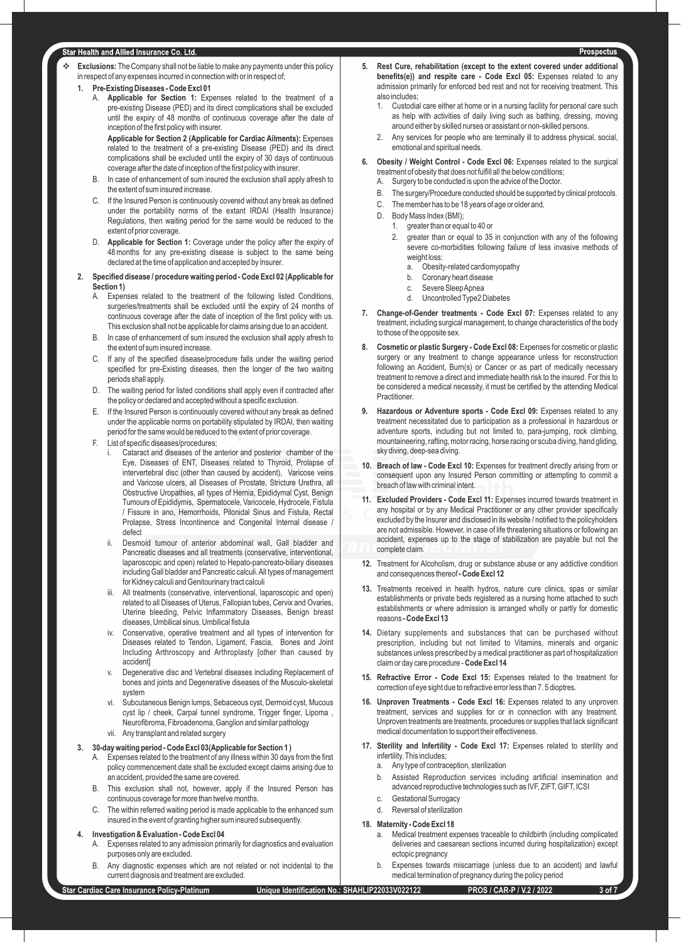#### Star Health and Allied Insurance Co. Ltd.

- **Exclusions:** The Company shall not be liable to make any payments under this policy in respect of any expenses incurred in connection with or in respect of;
	- **1. Pre-Existing Diseases Code Excl 01**
		- A. **Applicable for Section 1:** Expenses related to the treatment of a pre-existing Disease (PED) and its direct complications shall be excluded until the expiry of 48 months of continuous coverage after the date of inception of the first policy with insurer.

**Applicable for Section 2 (Applicable for Cardiac Ailments):** Expenses related to the treatment of a pre-existing Disease (PED) and its direct complications shall be excluded until the expiry of 30 days of continuous coverage after the date of inception of the first policy with insurer.

- B. In case of enhancement of sum insured the exclusion shall apply afresh to the extent of sum insured increase.
- C. If the Insured Person is continuously covered without any break as defined under the portability norms of the extant IRDAI (Health Insurance) Regulations, then waiting period for the same would be reduced to the extent of prior coverage.
- D. **Applicable for Section 1:** Coverage under the policy after the expiry of 48 months for any pre-existing disease is subject to the same being declared at the time of application and accepted by Insurer.

#### **2. Specified disease / procedure waiting period - Code Excl 02 (Applicable for Section 1)**

- A. Expenses related to the treatment of the following listed Conditions, surgeries/treatments shall be excluded until the expiry of 24 months of continuous coverage after the date of inception of the first policy with us. This exclusion shall not be applicable for claims arising due to an accident.
- B. In case of enhancement of sum insured the exclusion shall apply afresh to the extent of sum insured increase.
- C. If any of the specified disease/procedure falls under the waiting period specified for pre-Existing diseases, then the longer of the two waiting periods shall apply.
- D. The waiting period for listed conditions shall apply even if contracted after the policy or declared and accepted without a specific exclusion.
- E. If the Insured Person is continuously covered without any break as defined under the applicable norms on portability stipulated by IRDAI, then waiting period for the same would be reduced to the extent of prior coverage.
- F. List of specific diseases/procedures;
	- i. Cataract and diseases of the anterior and posterior chamber of the Eye, Diseases of ENT, Diseases related to Thyroid, Prolapse of intervertebral disc (other than caused by accident), Varicose veins and Varicose ulcers, all Diseases of Prostate, Stricture Urethra, all Obstructive Uropathies, all types of Hernia, Epididymal Cyst, Benign Tumours of Epididymis, Spermatocele, Varicocele, Hydrocele, Fistula / Fissure in ano, Hemorrhoids, Pilonidal Sinus and Fistula, Rectal Prolapse, Stress Incontinence and Congenital Internal disease / defect
	- Desmoid tumour of anterior abdominal wall. Gall bladder and Pancreatic diseases and all treatments (conservative, interventional, laparoscopic and open) related to Hepato-pancreato-biliary diseases including Gall bladder and Pancreatic calculi. All types of management for Kidney calculi and Genitourinary tract calculi
	- All treatments (conservative, interventional, laparoscopic and open) related to all Diseases of Uterus, Fallopian tubes, Cervix and Ovaries, Uterine bleeding, Pelvic Inflammatory Diseases, Benign breast diseases, Umbilical sinus, Umbilical fistula
	- iv. Conservative, operative treatment and all types of intervention for Diseases related to Tendon, Ligament, Fascia, Bones and Joint Including Arthroscopy and Arthroplasty [other than caused by accident]
	- Degenerative disc and Vertebral diseases including Replacement of bones and joints and Degenerative diseases of the Musculo-skeletal system
	- vi. Subcutaneous Benign lumps, Sebaceous cyst, Dermoid cyst, Mucous cyst lip / cheek, Carpal tunnel syndrome, Trigger finger, Lipoma , Neurofibroma, Fibroadenoma, Ganglion and similar pathology
	- vii. Any transplant and related surgery

### **3. 30-day waiting period - Code Excl 03(Applicable for Section 1 )**

- Expenses related to the treatment of any illness within 30 days from the first policy commencement date shall be excluded except claims arising due to an accident, provided the same are covered.
- B. This exclusion shall not, however, apply if the Insured Person has continuous coverage for more than twelve months.
- C. The within referred waiting period is made applicable to the enhanced sum insured in the event of granting higher sum insured subsequently.

#### **4. Investigation & Evaluation - Code Excl 04**

- A. Expenses related to any admission primarily for diagnostics and evaluation purposes only are excluded.
- B. Any diagnostic expenses which are not related or not incidental to the current diagnosis and treatment are excluded.
- **5. Rest Cure, rehabilitation (except to the extent covered under additional benefits(e)) and respite care - Code Excl 05:** Expenses related to any admission primarily for enforced bed rest and not for receiving treatment. This also includes;
	- 1. Custodial care either at home or in a nursing facility for personal care such as help with activities of daily living such as bathing, dressing, moving around either by skilled nurses or assistant or non-skilled persons.
	- 2. Any services for people who are terminally ill to address physical, social, emotional and spiritual needs.
- **6. Obesity / Weight Control Code Excl 06:** Expenses related to the surgical treatment of obesity that does not fulfill all the below conditions;
	- A. Surgery to be conducted is upon the advice of the Doctor.
	- B. The surgery/Procedure conducted should be supported by clinical protocols.
	- C. The member has to be 18 years of age or older and,
	- D. Body Mass Index (BMI);
		- greater than or equal to 40 or
		- 2. greater than or equal to 35 in conjunction with any of the following severe co-morbidities following failure of less invasive methods of weight loss:
			- a. Obesity-related cardiomyopathy
			- b. Coronary heart disease
			- c. Severe Sleep Apnea
			- d. Uncontrolled Type2 Diabetes
- **7. Change-of-Gender treatments Code Excl 07:** Expenses related to any treatment, including surgical management, to change characteristics of the body to those of the opposite sex.
- 8. Cosmetic or plastic Surgery Code Excl 08: Expenses for cosmetic or plastic surgery or any treatment to change appearance unless for reconstruction following an Accident, Burn(s) or Cancer or as part of medically necessary treatment to remove a direct and immediate health risk to the insured. For this to be considered a medical necessity, it must be certified by the attending Medical **Practitioner.**
- Hazardous or Adventure sports Code Excl 09: Expenses related to any treatment necessitated due to participation as a professional in hazardous or adventure sports, including but not limited to, para-jumping, rock climbing, mountaineering, rafting, motor racing, horse racing or scuba diving, hand gliding, sky diving, deep-sea diving.
- **10. Breach of law Code Excl 10:** Expenses for treatment directly arising from or consequent upon any Insured Person committing or attempting to commit a breach of law with criminal intent.
- **11. Excluded Providers Code Excl 11:** Expenses incurred towards treatment in any hospital or by any Medical Practitioner or any other provider specifically excluded by the Insurer and disclosed in its website / notified to the policyholders are not admissible. However, in case of life threatening situations or following an accident, expenses up to the stage of stabilization are payable but not the complete claim.
- **12.** Treatment for Alcoholism, drug or substance abuse or any addictive condition and consequences thereof **- Code Excl 12**
- **13.** Treatments received in health hydros, nature cure clinics, spas or similar establishments or private beds registered as a nursing home attached to such establishments or where admission is arranged wholly or partly for domestic reasons **- Code Excl 13**
- **14.** Dietary supplements and substances that can be purchased without prescription, including but not limited to Vitamins, minerals and organic substances unless prescribed by a medical practitioner as part of hospitalization claim or day care procedure - **Code Excl 14**
- **15. Refractive Error Code Excl 15:** Expenses related to the treatment for correction of eye sight due to refractive error less than 7. 5 dioptres.
- **16. Unproven Treatments Code Excl 16:** Expenses related to any unproven treatment, services and supplies for or in connection with any treatment. Unproven treatments are treatments, procedures or supplies that lack significant medical documentation to support their effectiveness.
- 17. Sterility and Infertility Code Excl 17: Expenses related to sterility and infertility. This includes;
	- a. Any type of contraception, sterilization
	- b. Assisted Reproduction services including artificial insemination and advanced reproductive technologies such as IVF, ZIFT, GIFT, ICSI
	- c. Gestational Surrogacy
	- d. Reversal of sterilization

#### **18. Maternity - Code Excl 18**

- a. Medical treatment expenses traceable to childbirth (including complicated deliveries and caesarean sections incurred during hospitalization) except ectopic pregnancy
- b. Expenses towards miscarriage (unless due to an accident) and lawful medical termination of pregnancy during the policy period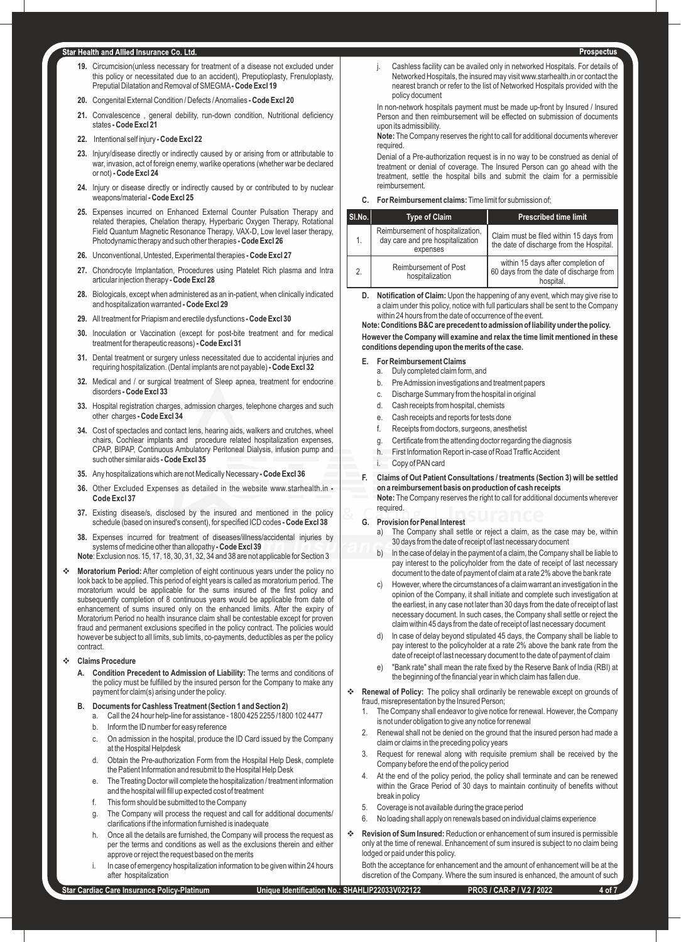#### tar Health and Allied Insurance Co. Ltd.

- **19.** Circumcision(unless necessary for treatment of a disease not excluded under this policy or necessitated due to an accident), Preputioplasty, Frenuloplasty, Preputial Dilatation and Removal of SMEGMA**- Code Excl 19**
- **20.** Congenital External Condition / Defects / Anomalies  **Code Excl 20**
- **21.** Convalescence , general debility, run-down condition, Nutritional deficiency states **- Code Excl 21**
- **22.** Intentional self injury  **Code Excl 22**
- **23.** Injury/disease directly or indirectly caused by or arising from or attributable to war, invasion, act of foreign enemy, warlike operations (whether war be declared or not) **- Code Excl 24**
- **24.** Injury or disease directly or indirectly caused by or contributed to by nuclear weapons/material **- Code Excl 25**
- **25.** Expenses incurred on Enhanced External Counter Pulsation Therapy and related therapies, Chelation therapy, Hyperbaric Oxygen Therapy, Rotational Field Quantum Magnetic Resonance Therapy, VAX-D, Low level laser therapy, Photodynamic therapy and such other therapies **- Code Excl 26**
- **26.** Unconventional, Untested, Experimental therapies  **Code Excl 27**
- **27.** Chondrocyte Implantation, Procedures using Platelet Rich plasma and Intra articular injection therapy **- Code Excl 28**
- **28.** Biologicals, except when administered as an in-patient, when clinically indicated and hospitalization warranted **- Code Excl 29**
- **29.** All treatment for Priapism and erectile dysfunctions  **Code Excl 30**
- **30.** Inoculation or Vaccination (except for post-bite treatment and for medical treatment for therapeutic reasons) **- Code Excl 31**
- **31.** Dental treatment or surgery unless necessitated due to accidental injuries and requiring hospitalization. (Dental implants are not payable) **- Code Excl 32**
- **32.** Medical and / or surgical treatment of Sleep apnea, treatment for endocrine disorders **- Code Excl 33**
- **33.** Hospital registration charges, admission charges, telephone charges and such other charges **- Code Excl 34**
- **34.** Cost of spectacles and contact lens, hearing aids, walkers and crutches, wheel chairs, Cochlear implants and procedure related hospitalization expenses, CPAP, BIPAP, Continuous Ambulatory Peritoneal Dialysis, infusion pump and such other similar aids **- Code Excl 35**
- **35.** Any hospitalizations which are not Medically Necessary  **Code Excl 36**
- **36.** Other Excluded Expenses as detailed in the website www.starhealth.in  **Code Excl 37**
- **37.** Existing disease/s, disclosed by the insured and mentioned in the policy schedule (based on insured's consent), for specified ICD codes **- Code Excl 38**
- **38.** Expenses incurred for treatment of diseases/illness/accidental injuries by systems of medicine other than allopathy **- Code Excl 39**
- **Note**: Exclusion nos. 15, 17, 18, 30, 31, 32, 34 and 38 are not applicable for Section 3
- **\*** Moratorium Period: After completion of eight continuous years under the policy no look back to be applied. This period of eight years is called as moratorium period. The moratorium would be applicable for the sums insured of the first policy and subsequently completion of 8 continuous years would be applicable from date of enhancement of sums insured only on the enhanced limits. After the expiry of Moratorium Period no health insurance claim shall be contestable except for proven fraud and permanent exclusions specified in the policy contract. The policies would however be subject to all limits, sub limits, co-payments, deductibles as per the policy contract.

#### v **Claims Procedure**

**A. Condition Precedent to Admission of Liability:** The terms and conditions of the policy must be fulfilled by the insured person for the Company to make any payment for claim(s) arising under the policy.

## **B. Documents for Cashless Treatment (Section 1 and Section 2)**

- a. Call the 24 hour help-line for assistance 1800 425 2255 /1800 102 4477
- b. Inform the ID number for easy reference
- c. On admission in the hospital, produce the ID Card issued by the Company at the Hospital Helpdesk
- d. Obtain the Pre-authorization Form from the Hospital Help Desk, complete the Patient Information and resubmit to the Hospital Help Desk
- e. The Treating Doctor will complete the hospitalization / treatment information and the hospital will fill up expected cost of treatment
- f. This form should be submitted to the Company
- g. The Company will process the request and call for additional documents/ clarifications if the information furnished is inadequate
- h. Once all the details are furnished, the Company will process the request as per the terms and conditions as well as the exclusions therein and either approve or reject the request based on the merits
- In case of emergency hospitalization information to be given within 24 hours after hospitalization

j. Cashless facility can be availed only in networked Hospitals. For details of Networked Hospitals, the insured may visit www.starhealth.in or contact the nearest branch or refer to the list of Networked Hospitals provided with the policy document

In non-network hospitals payment must be made up-front by Insured / Insured Person and then reimbursement will be effected on submission of documents upon its admissibility.

**Note:** The Company reserves the right to call for additional documents wherever required.

Denial of a Pre-authorization request is in no way to be construed as denial of treatment or denial of coverage. The Insured Person can go ahead with the treatment, settle the hospital bills and submit the claim for a permissible reimbursement.

#### **C. For Reimbursement claims:**Time limit for submission of;

| $ $ SI.No. | <b>Type of Claim</b>                                                              | <b>Prescribed time limit</b>                                                               |
|------------|-----------------------------------------------------------------------------------|--------------------------------------------------------------------------------------------|
| 1.         | Reimbursement of hospitalization,<br>day care and pre hospitalization<br>expenses | Claim must be filed within 15 days from<br>the date of discharge from the Hospital.        |
| 2.         | <b>Reimbursement of Post</b><br>hospitalization                                   | within 15 days after completion of<br>60 days from the date of discharge from<br>hospital. |

**D. Notification of Claim:** Upon the happening of any event, which may give rise to a claim under this policy, notice with full particulars shall be sent to the Company within 24 hours from the date of occurrence of the event.

**Note: Conditions B&C are precedent to admission of liability under the policy. However the Company will examine and relax the time limit mentioned in these conditions depending upon the merits of the case.**

#### **E. For Reimbursement Claims**

- a. Duly completed claim form, and
- b. Pre Admission investigations and treatment papers
- c. Discharge Summary from the hospital in original
- d. Cash receipts from hospital, chemists
- e. Cash receipts and reports for tests done
- f. Receipts from doctors, surgeons, anesthetist
- g. Certificate from the attending doctor regarding the diagnosis
- h. First Information Report in-case of Road Traffic Accident
- Copy of PAN card
- **F. Claims of Out Patient Consultations / treatments (Section 3) will be settled on a reimbursement basis on production of cash receipts Note:** The Company reserves the right to call for additional documents wherever

#### **G. Provision for Penal Interest**

required.

- a) The Company shall settle or reject a claim, as the case may be, within 30 days from the date of receipt of last necessary document
- b) ln the case of delay in the payment of a claim, the Company shall be liable to pay interest to the policyholder from the date of receipt of last necessary document to the date of payment of claim at a rate 2% above the bank rate
- c) However, where the circumstances of a claim warrant an investigation in the opinion of the Company, it shall initiate and complete such investigation at the earliest, in any case not later than 30 days from the date of receipt of last necessary document. ln such cases, the Company shall settle or reject the claim within 45 days from the date of receipt of last necessary document
- d) ln case of delay beyond stipulated 45 days, the Company shall be liable to pay interest to the policyholder at a rate 2% above the bank rate from the date of receipt of last necessary document to the date of payment of claim
- e) "Bank rate" shall mean the rate fixed by the Reserve Bank of lndia (RBI) at the beginning of the financial year in which claim has fallen due.

**Renewal of Policy:** The policy shall ordinarily be renewable except on grounds of fraud, misrepresentation by the Insured Person;

- The Company shall endeavor to give notice for renewal. However, the Company is not under obligation to give any notice for renewal
- Renewal shall not be denied on the ground that the insured person had made a claim or claims in the preceding policy years
- Request for renewal along with requisite premium shall be received by the Company before the end of the policy period
- 4. At the end of the policy period, the policy shall terminate and can be renewed within the Grace Period of 30 days to maintain continuity of benefits without break in policy
- 5. Coverage is not available during the grace period
- 6. No loading shall apply on renewals based on individual claims experience
- **Revision of Sum Insured:** Reduction or enhancement of sum insured is permissible only at the time of renewal. Enhancement of sum insured is subject to no claim being lodged or paid under this policy.

Both the acceptance for enhancement and the amount of enhancement will be at the discretion of the Company. Where the sum insured is enhanced, the amount of such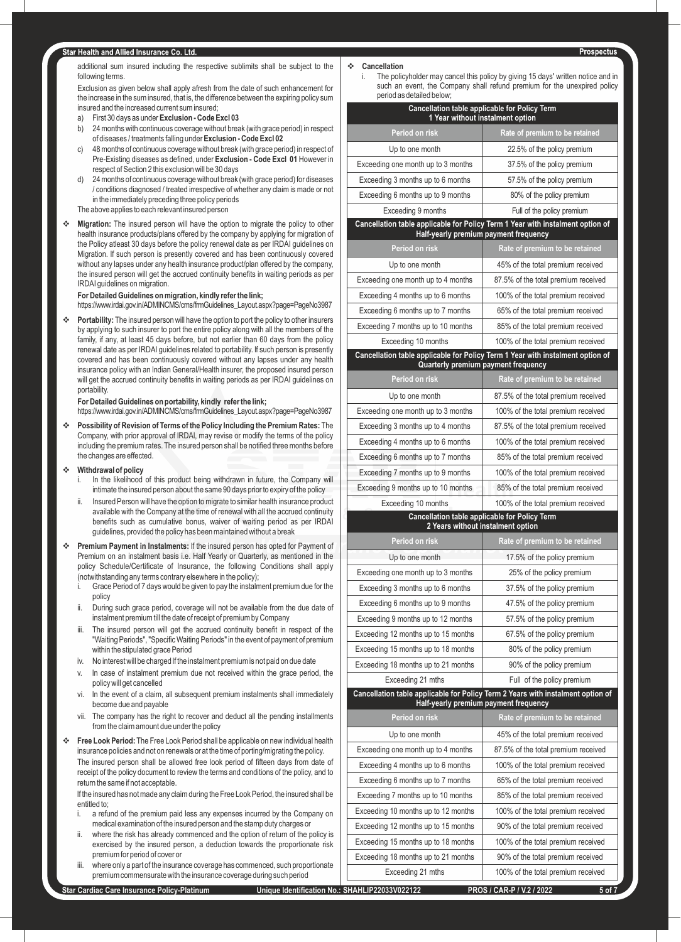#### **Star Health and Allied Insurance Co. Ltd.**

additional sum insured including the respective sublimits shall be subject to the following terms.

Exclusion as given below shall apply afresh from the date of such enhancement for the increase in the sum insured, that is, the difference between the expiring policy sum insured and the increased current sum insured;

- a) First 30 days as under **Exclusion Code Excl 03**
- b) 24 months with continuous coverage without break (with grace period) in respect of diseases / treatments falling under **Exclusion - Code Excl 02**
- c) 48 months of continuous coverage without break (with grace period) in respect of Pre-Existing diseases as defined, under **Exclusion - Code Excl 01** However in respect of Section 2 this exclusion will be 30 days
- d) 24 months of continuous coverage without break (with grace period) for diseases / conditions diagnosed / treated irrespective of whether any claim is made or not in the immediately preceding three policy periods
- The above applies to each relevant insured person
- **\*** Migration: The insured person will have the option to migrate the policy to other health insurance products/plans offered by the company by applying for migration of the Policy atleast 30 days before the policy renewal date as per IRDAI guidelines on Migration. lf such person is presently covered and has been continuously covered without any lapses under any health insurance product/plan offered by the company, the insured person will get the accrued continuity benefits in waiting periods as per IRDAI guidelines on migration.

#### **For Detailed Guidelines on migration, kindly refer the link;**

https://www.irdai.gov.in/ADMINCMS/cms/frmGuidelines\_Layout.aspx?page=PageNo3987

**\*** Portability: The insured person will have the option to port the policy to other insurers by applying to such insurer to port the entire policy along with all the members of the family, if any, at least 45 days before, but not earlier than 60 days from the policy renewal date as per IRDAI guidelines related to portability. lf such person is presently covered and has been continuously covered without any lapses under any health insurance policy with an lndian General/Health insurer, the proposed insured person will get the accrued continuity benefits in waiting periods as per IRDAI guidelines on portability.

#### **For Detailed Guidelines on portability, kindly refer the link;**

https://www.irdai.gov.in/ADMINCMS/cms/frmGuidelines\_Layout.aspx?page=PageNo3987

- v **Possibility of Revision of Terms of the Policy lncluding the Premium Rates:** The Company, with prior approval of lRDAl, may revise or modify the terms of the policy including the premium rates. The insured person shall be notified three months before the changes are effected.
- $\div$  **Withdrawal of policy** 
	- In the likelihood of this product being withdrawn in future, the Company will intimate the insured person about the same 90 days prior to expiry of the policy
	- ii. Insured Person will have the option to migrate to similar health insurance product available with the Company at the time of renewal with all the accrued continuity benefits such as cumulative bonus, waiver of waiting period as per IRDAI guidelines, provided the policy has been maintained without a break
- **Premium Payment in Instalments:** If the insured person has opted for Payment of Premium on an instalment basis i.e. Half Yearly or Quarterly, as mentioned in the policy Schedule/Certificate of Insurance, the following Conditions shall apply (notwithstanding any terms contrary elsewhere in the policy);
	- Grace Period of 7 days would be given to pay the instalment premium due for the policy
	- ii. During such grace period, coverage will not be available from the due date of instalment premium till the date of receipt of premium by Company
	- iii. The insured person will get the accrued continuity benefit in respect of the "Waiting Periods", "Specific Waiting Periods" in the event of payment of premium within the stipulated grace Period
	- iv. No interest will be charged lf the instalment premium is not paid on due date
	- In case of instalment premium due not received within the grace period, the policy will get cancelled
	- vi. ln the event of a claim, all subsequent premium instalments shall immediately become due and payable
	- vii. The company has the right to recover and deduct all the pending installments from the claim amount due under the policy
- **Free Look Period:** The Free Look Period shall be applicable on new individual health insurance policies and not on renewals or at the time of porting/migrating the policy. The insured person shall be allowed free look period of fifteen days from date of receipt of the policy document to review the terms and conditions of the policy, and to return the same if not acceptable.

lf the insured has not made any claim during the Free Look Period, the insured shall be entitled to;

- i. a refund of the premium paid less any expenses incurred by the Company on medical examination of the insured person and the stamp duty charges or
- ii. where the risk has already commenced and the option of return of the policy is exercised by the insured person, a deduction towards the proportionate risk premium for period of cover or
- iii. where only a part of the insurance coverage has commenced, such proportionate premium commensurate with the insurance coverage during such period

#### **Cancellation**

The policyholder may cancel this policy by giving 15 days' written notice and in such an event, the Company shall refund premium for the unexpired policy period as detailed below;

| <b>Cancellation table applicable for Policy Term</b><br>1 Year without instalment option |                                                                                                                          |  |
|------------------------------------------------------------------------------------------|--------------------------------------------------------------------------------------------------------------------------|--|
| Period on risk                                                                           | Rate of premium to be retained                                                                                           |  |
| Up to one month                                                                          | 22.5% of the policy premium                                                                                              |  |
| Exceeding one month up to 3 months                                                       | 37.5% of the policy premium                                                                                              |  |
| Exceeding 3 months up to 6 months                                                        | 57.5% of the policy premium                                                                                              |  |
| Exceeding 6 months up to 9 months                                                        | 80% of the policy premium                                                                                                |  |
| Exceeding 9 months                                                                       | Full of the policy premium                                                                                               |  |
|                                                                                          | Cancellation table applicable for Policy Term 1 Year with instalment option of<br>Half-yearly premium payment frequency  |  |
| Period on risk                                                                           | Rate of premium to be retained                                                                                           |  |
| Up to one month                                                                          | 45% of the total premium received                                                                                        |  |
| Exceeding one month up to 4 months                                                       | 87.5% of the total premium received                                                                                      |  |
| Exceeding 4 months up to 6 months                                                        | 100% of the total premium received                                                                                       |  |
| Exceeding 6 months up to 7 months                                                        | 65% of the total premium received                                                                                        |  |
| Exceeding 7 months up to 10 months                                                       | 85% of the total premium received                                                                                        |  |
| Exceeding 10 months                                                                      | 100% of the total premium received                                                                                       |  |
|                                                                                          | Cancellation table applicable for Policy Term 1 Year with instalment option of<br>Quarterly premium payment frequency    |  |
| Period on risk                                                                           | Rate of premium to be retained                                                                                           |  |
| Up to one month                                                                          | 87.5% of the total premium received                                                                                      |  |
| Exceeding one month up to 3 months                                                       | 100% of the total premium received                                                                                       |  |
| Exceeding 3 months up to 4 months                                                        | 87.5% of the total premium received                                                                                      |  |
| Exceeding 4 months up to 6 months                                                        | 100% of the total premium received                                                                                       |  |
| Exceeding 6 months up to 7 months                                                        | 85% of the total premium received                                                                                        |  |
| Exceeding 7 months up to 9 months                                                        | 100% of the total premium received                                                                                       |  |
| Exceeding 9 months up to 10 months                                                       | 85% of the total premium received                                                                                        |  |
| Exceeding 10 months                                                                      | 100% of the total premium received                                                                                       |  |
|                                                                                          | Cancellation table applicable for Policy Term<br>2 Years without instalment option                                       |  |
| Period on risk                                                                           | Rate of premium to be retained                                                                                           |  |
| Up to one month                                                                          | 17.5% of the policy premium                                                                                              |  |
| Exceeding one month up to 3 months                                                       | 25% of the policy premium                                                                                                |  |
| Exceeding 3 months up to 6 months                                                        | 37.5% of the policy premium                                                                                              |  |
| Exceeding 6 months up to 9 months                                                        | 47.5% of the policy premium                                                                                              |  |
| Exceeding 9 months up to 12 months                                                       | 57.5% of the policy premium                                                                                              |  |
| Exceeding 12 months up to 15 months                                                      | 67.5% of the policy premium                                                                                              |  |
| Exceeding 15 months up to 18 months                                                      | 80% of the policy premium                                                                                                |  |
| Exceeding 18 months up to 21 months                                                      | 90% of the policy premium                                                                                                |  |
| Exceeding 21 mths                                                                        | Full of the policy premium                                                                                               |  |
|                                                                                          | Cancellation table applicable for Policy Term 2 Years with instalment option of<br>Half-yearly premium payment frequency |  |
| Period on risk                                                                           | Rate of premium to be retained                                                                                           |  |
| Up to one month                                                                          | 45% of the total premium received                                                                                        |  |
| Exceeding one month up to 4 months                                                       | 87.5% of the total premium received                                                                                      |  |
| Exceeding 4 months up to 6 months                                                        | 100% of the total premium received                                                                                       |  |
| Exceeding 6 months up to 7 months                                                        | 65% of the total premium received                                                                                        |  |
| Exceeding 7 months up to 10 months                                                       | 85% of the total premium received                                                                                        |  |
| Exceeding 10 months up to 12 months                                                      | 100% of the total premium received                                                                                       |  |
| Exceeding 12 months up to 15 months                                                      | 90% of the total premium received                                                                                        |  |
| Exceeding 15 months up to 18 months                                                      | 100% of the total premium received                                                                                       |  |
| Exceeding 18 months up to 21 months                                                      | 90% of the total premium received                                                                                        |  |
| Exceeding 21 mths                                                                        | 100% of the total premium received                                                                                       |  |
|                                                                                          |                                                                                                                          |  |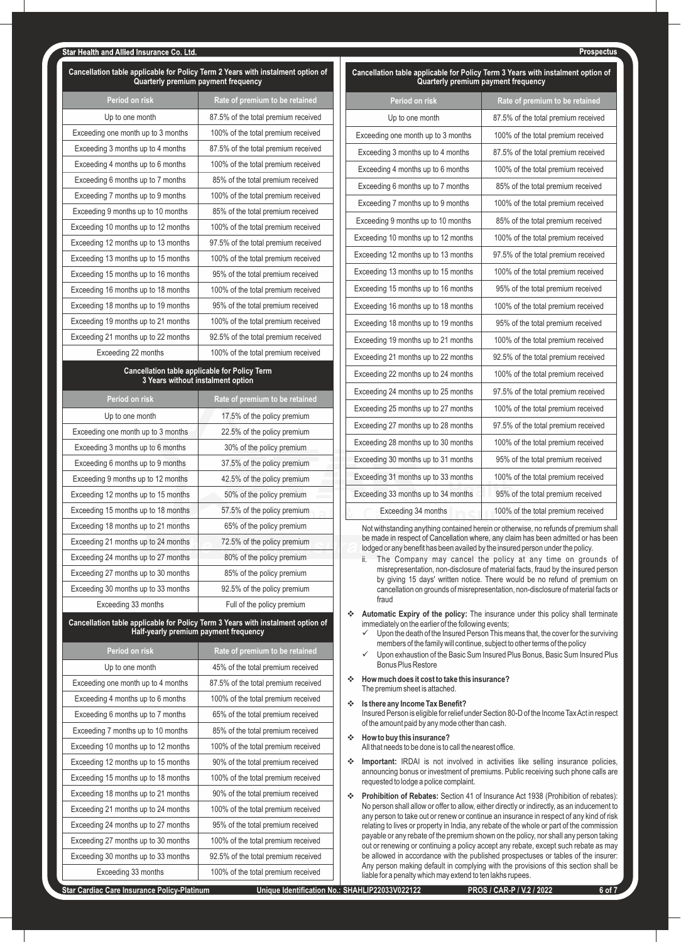#### **far Health and Allied Insurance Co. I td.**

| Cancellation table applicable for Policy Term 2 Years with instalment option of<br>Quarterly premium payment frequency |                                                                                                                          |
|------------------------------------------------------------------------------------------------------------------------|--------------------------------------------------------------------------------------------------------------------------|
| Period on risk                                                                                                         | Rate of premium to be retained                                                                                           |
| Up to one month                                                                                                        | 87.5% of the total premium received                                                                                      |
| Exceeding one month up to 3 months                                                                                     | 100% of the total premium received                                                                                       |
| Exceeding 3 months up to 4 months                                                                                      | 87.5% of the total premium received                                                                                      |
| Exceeding 4 months up to 6 months                                                                                      | 100% of the total premium received                                                                                       |
| Exceeding 6 months up to 7 months                                                                                      | 85% of the total premium received                                                                                        |
| Exceeding 7 months up to 9 months                                                                                      | 100% of the total premium received                                                                                       |
| Exceeding 9 months up to 10 months                                                                                     | 85% of the total premium received                                                                                        |
| Exceeding 10 months up to 12 months                                                                                    | 100% of the total premium received                                                                                       |
| Exceeding 12 months up to 13 months                                                                                    | 97.5% of the total premium received                                                                                      |
| Exceeding 13 months up to 15 months                                                                                    | 100% of the total premium received                                                                                       |
| Exceeding 15 months up to 16 months                                                                                    | 95% of the total premium received                                                                                        |
| Exceeding 16 months up to 18 months                                                                                    | 100% of the total premium received                                                                                       |
| Exceeding 18 months up to 19 months                                                                                    | 95% of the total premium received                                                                                        |
| Exceeding 19 months up to 21 months                                                                                    | 100% of the total premium received                                                                                       |
| Exceeding 21 months up to 22 months                                                                                    | 92.5% of the total premium received                                                                                      |
| Exceeding 22 months                                                                                                    | 100% of the total premium received                                                                                       |
|                                                                                                                        | <b>Cancellation table applicable for Policy Term</b>                                                                     |
| 3 Years without instalment option                                                                                      |                                                                                                                          |
| Period on risk                                                                                                         | Rate of premium to be retained                                                                                           |
| Up to one month                                                                                                        | 17.5% of the policy premium                                                                                              |
| Exceeding one month up to 3 months                                                                                     | 22.5% of the policy premium                                                                                              |
| Exceeding 3 months up to 6 months                                                                                      | 30% of the policy premium                                                                                                |
| Exceeding 6 months up to 9 months                                                                                      | 37.5% of the policy premium                                                                                              |
| Exceeding 9 months up to 12 months                                                                                     | 42.5% of the policy premium                                                                                              |
| Exceeding 12 months up to 15 months                                                                                    | 50% of the policy premium                                                                                                |
| Exceeding 15 months up to 18 months                                                                                    | 57.5% of the policy premium                                                                                              |
| Exceeding 18 months up to 21 months                                                                                    | 65% of the policy premium                                                                                                |
| Exceeding 21 months up to 24 months                                                                                    | 72.5% of the policy premium                                                                                              |
| Exceeding 24 months up to 27 months                                                                                    | 80% of the policy premium                                                                                                |
| Exceeding 27 months up to 30 months                                                                                    | 85% of the policy premium                                                                                                |
| Exceeding 30 months up to 33 months                                                                                    | 92.5% of the policy premium                                                                                              |
| Exceeding 33 months                                                                                                    | Full of the policy premium                                                                                               |
|                                                                                                                        | Cancellation table applicable for Policy Term 3 Years with instalment option of<br>Half-yearly premium payment frequency |
| Period on risk                                                                                                         | Rate of premium to be retained                                                                                           |

| Up to one month                     | 45% of the total premium received   |
|-------------------------------------|-------------------------------------|
| Exceeding one month up to 4 months  | 87.5% of the total premium received |
| Exceeding 4 months up to 6 months   | 100% of the total premium received  |
| Exceeding 6 months up to 7 months   | 65% of the total premium received   |
| Exceeding 7 months up to 10 months  | 85% of the total premium received   |
| Exceeding 10 months up to 12 months | 100% of the total premium received  |
| Exceeding 12 months up to 15 months | 90% of the total premium received   |
| Exceeding 15 months up to 18 months | 100% of the total premium received  |
| Exceeding 18 months up to 21 months | 90% of the total premium received   |
| Exceeding 21 months up to 24 months | 100% of the total premium received  |
| Exceeding 24 months up to 27 months | 95% of the total premium received   |
| Exceeding 27 months up to 30 months | 100% of the total premium received  |
| Exceeding 30 months up to 33 months | 92.5% of the total premium received |
| Exceeding 33 months                 | 100% of the total premium received  |

**Cancellation table applicable for Policy Term 3 Years with instalment option of Quarterly premium payment frequency**

Prospectus

| Period on risk                      | Rate of premium to be retained      |
|-------------------------------------|-------------------------------------|
| Up to one month                     | 87.5% of the total premium received |
| Exceeding one month up to 3 months  | 100% of the total premium received  |
| Exceeding 3 months up to 4 months   | 87.5% of the total premium received |
| Exceeding 4 months up to 6 months   | 100% of the total premium received  |
| Exceeding 6 months up to 7 months   | 85% of the total premium received   |
| Exceeding 7 months up to 9 months   | 100% of the total premium received  |
| Exceeding 9 months up to 10 months  | 85% of the total premium received   |
| Exceeding 10 months up to 12 months | 100% of the total premium received  |
| Exceeding 12 months up to 13 months | 97.5% of the total premium received |
| Exceeding 13 months up to 15 months | 100% of the total premium received  |
| Exceeding 15 months up to 16 months | 95% of the total premium received   |
| Exceeding 16 months up to 18 months | 100% of the total premium received  |
| Exceeding 18 months up to 19 months | 95% of the total premium received   |
| Exceeding 19 months up to 21 months | 100% of the total premium received  |
| Exceeding 21 months up to 22 months | 92.5% of the total premium received |
| Exceeding 22 months up to 24 months | 100% of the total premium received  |
| Exceeding 24 months up to 25 months | 97.5% of the total premium received |
| Exceeding 25 months up to 27 months | 100% of the total premium received  |
| Exceeding 27 months up to 28 months | 97.5% of the total premium received |
| Exceeding 28 months up to 30 months | 100% of the total premium received  |
| Exceeding 30 months up to 31 months | 95% of the total premium received   |
| Exceeding 31 months up to 33 months | 100% of the total premium received  |
| Exceeding 33 months up to 34 months | 95% of the total premium received   |
| Exceeding 34 months                 | 100% of the total premium received  |

Not withstanding anything contained herein or otherwise, no refunds of premium shall be made in respect of Cancellation where, any claim has been admitted or has been lodged or any benefit has been availed by the insured person under the policy.

- ii. The Company may cancel the policy at any time on grounds of misrepresentation, non-disclosure of material facts, fraud by the insured person by giving 15 days' written notice. There would be no refund of premium on cancellation on grounds of misrepresentation, non-disclosure of material facts or fraud
- v **Automatic Expiry of the policy:** The insurance under this policy shall terminate immediately on the earlier of the following events;
	- ü Upon the death of the Insured Person This means that, the cover for the surviving members of the family will continue, subject to other terms of the policy
	- ü Upon exhaustion of the Basic Sum Insured Plus Bonus, Basic Sum Insured Plus Bonus Plus Restore
- v **How much does it cost to take this insurance?** The premium sheet is attached.
- v **Is there any Income Tax Benefit?**

Insured Person is eligible for relief under Section 80-D of the Income Tax Act in respect of the amount paid by any mode other than cash.

v **How to buy this insurance?** All that needs to be done is to call the nearest office.

- \* Important: IRDAI is not involved in activities like selling insurance policies, announcing bonus or investment of premiums. Public receiving such phone calls are requested to lodge a police complaint.
- v **Prohibition of Rebates:** Section 41 of Insurance Act 1938 (Prohibition of rebates): No person shall allow or offer to allow, either directly or indirectly, as an inducement to any person to take out or renew or continue an insurance in respect of any kind of risk relating to lives or property in India, any rebate of the whole or part of the commission payable or any rebate of the premium shown on the policy, nor shall any person taking out or renewing or continuing a policy accept any rebate, except such rebate as may be allowed in accordance with the published prospectuses or tables of the insurer: Any person making default in complying with the provisions of this section shall be liable for a penalty which may extend to ten lakhs rupees.